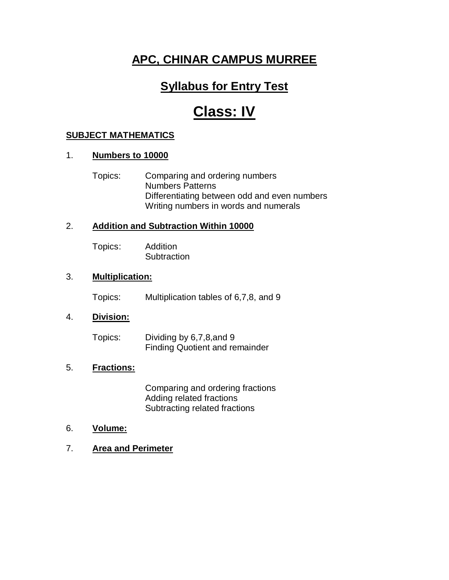### **Syllabus for Entry Test**

## **Class: IV**

#### **SUBJECT MATHEMATICS**

#### 1. **Numbers to 10000**

Topics: Comparing and ordering numbers Numbers Patterns Differentiating between odd and even numbers Writing numbers in words and numerals

#### 2. **Addition and Subtraction Within 10000**

Topics: Addition **Subtraction** 

#### 3. **Multiplication:**

Topics: Multiplication tables of 6,7,8, and 9

#### 4. **Division:**

Topics: Dividing by 6,7,8,and 9 Finding Quotient and remainder

#### 5. **Fractions:**

Comparing and ordering fractions Adding related fractions Subtracting related fractions

#### 6. **Volume:**

7. **Area and Perimeter**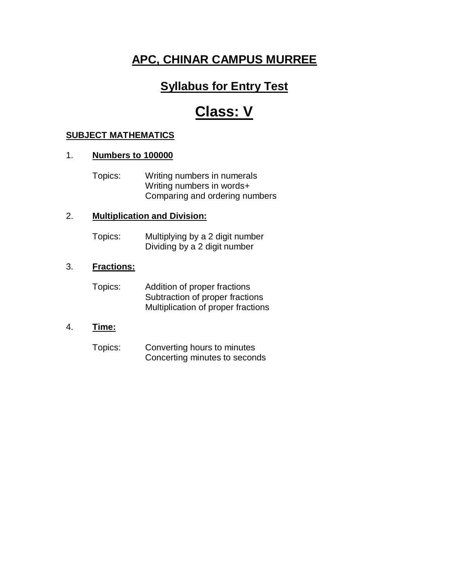### **Syllabus for Entry Test**

# **Class: V**

#### **SUBJECT MATHEMATICS**

#### 1. **Numbers to 100000**

Topics: Writing numbers in numerals Writing numbers in words+ Comparing and ordering numbers

#### 2. **Multiplication and Division:**

Topics: Multiplying by a 2 digit number Dividing by a 2 digit number

### 3. **Fractions:**

| Topics: | Addition of proper fractions       |
|---------|------------------------------------|
|         | Subtraction of proper fractions    |
|         | Multiplication of proper fractions |

#### 4. **Time:**

Topics: Converting hours to minutes Concerting minutes to seconds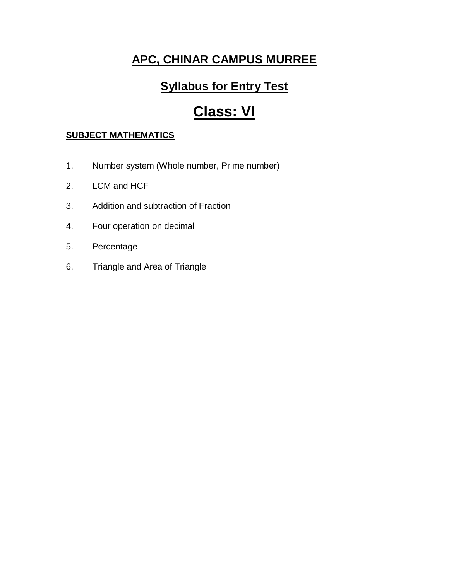## **Syllabus for Entry Test**

# **Class: VI**

### **SUBJECT MATHEMATICS**

- 1. Number system (Whole number, Prime number)
- 2. LCM and HCF
- 3. Addition and subtraction of Fraction
- 4. Four operation on decimal
- 5. Percentage
- 6. Triangle and Area of Triangle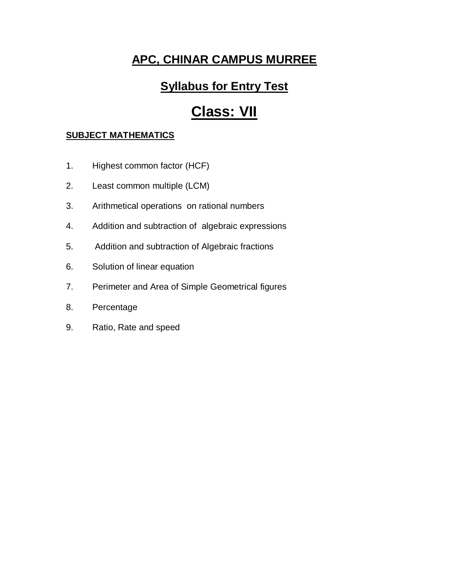## **Syllabus for Entry Test**

# **Class: VII**

### **SUBJECT MATHEMATICS**

- 1. Highest common factor (HCF)
- 2. Least common multiple (LCM)
- 3. Arithmetical operations on rational numbers
- 4. Addition and subtraction of algebraic expressions
- 5. Addition and subtraction of Algebraic fractions
- 6. Solution of linear equation
- 7. Perimeter and Area of Simple Geometrical figures
- 8. Percentage
- 9. Ratio, Rate and speed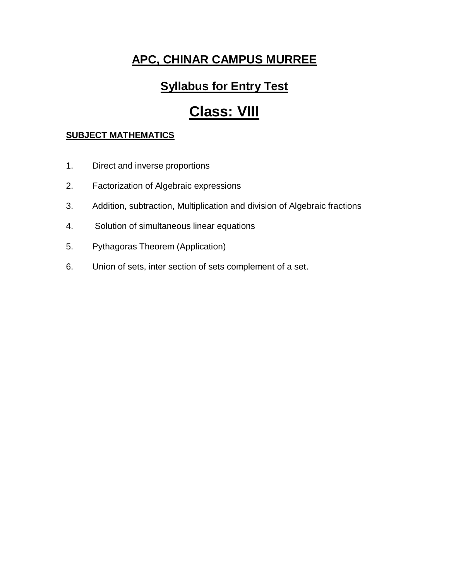### **Syllabus for Entry Test**

# **Class: VIII**

### **SUBJECT MATHEMATICS**

- 1. Direct and inverse proportions
- 2. Factorization of Algebraic expressions
- 3. Addition, subtraction, Multiplication and division of Algebraic fractions
- 4. Solution of simultaneous linear equations
- 5. Pythagoras Theorem (Application)
- 6. Union of sets, inter section of sets complement of a set.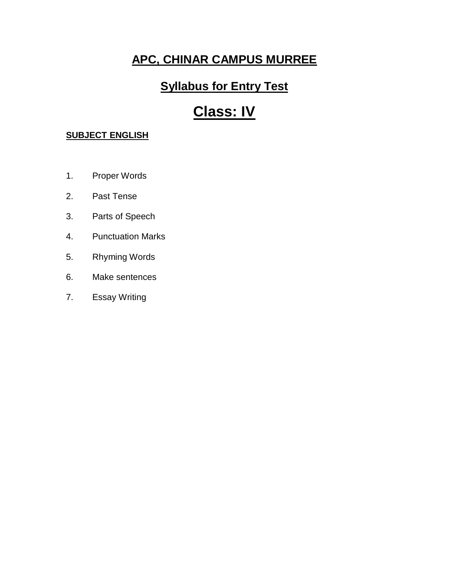## **Syllabus for Entry Test**

# **Class: IV**

- 1. Proper Words
- 2. Past Tense
- 3. Parts of Speech
- 4. Punctuation Marks
- 5. Rhyming Words
- 6. Make sentences
- 7. Essay Writing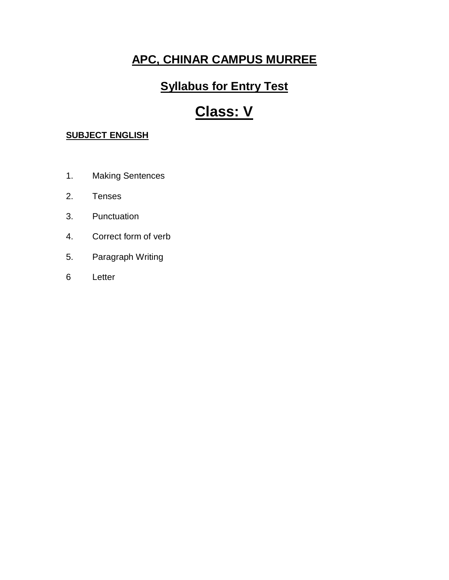## **Syllabus for Entry Test**

# **Class: V**

- 1. Making Sentences
- 2. Tenses
- 3. Punctuation
- 4. Correct form of verb
- 5. Paragraph Writing
- 6 Letter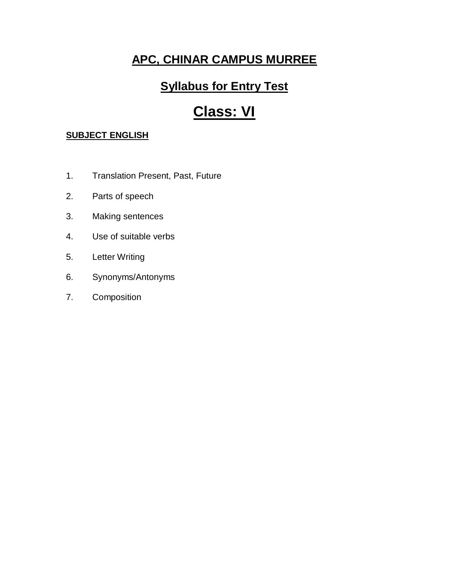## **Syllabus for Entry Test**

# **Class: VI**

- 1. Translation Present, Past, Future
- 2. Parts of speech
- 3. Making sentences
- 4. Use of suitable verbs
- 5. Letter Writing
- 6. Synonyms/Antonyms
- 7. Composition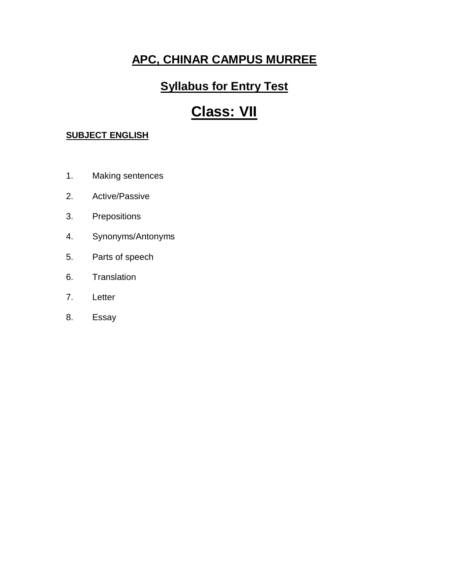## **Syllabus for Entry Test**

# **Class: VII**

- 1. Making sentences
- 2. Active/Passive
- 3. Prepositions
- 4. Synonyms/Antonyms
- 5. Parts of speech
- 6. Translation
- 7. Letter
- 8. Essay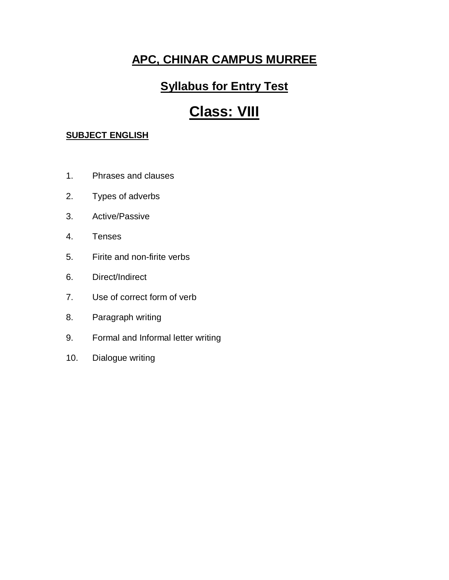### **Syllabus for Entry Test**

# **Class: VIII**

- 1. Phrases and clauses
- 2. Types of adverbs
- 3. Active/Passive
- 4. Tenses
- 5. Firite and non-firite verbs
- 6. Direct/Indirect
- 7. Use of correct form of verb
- 8. Paragraph writing
- 9. Formal and Informal letter writing
- 10. Dialogue writing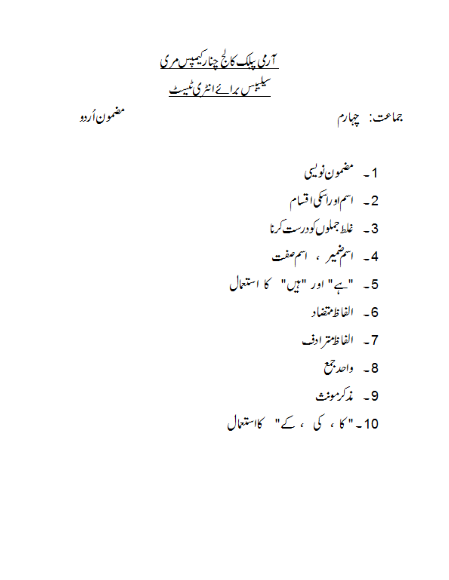<u>7ری پلک کالج چنارکیمپس مری</u> <u>سیلیپس برائےانٹری ٹیبٹ</u>

مضمون أردو

جماعت: چہارم

1۔ مضمون نولیی 2۔ اسم اوراسکی اقسام 3 \_ غلط جملوں کو درست کرنا 4۔ اسمِنٹمیر ، اسمِ صفت 5۔ "ہے" اور "ہیں" کا استعال 6- الفاظ تتضاد 7- الفاظ ترادف 8۔ واحد جمع 9- پذکرمونٹ 10۔" کا ، کی ، کے" کااستعال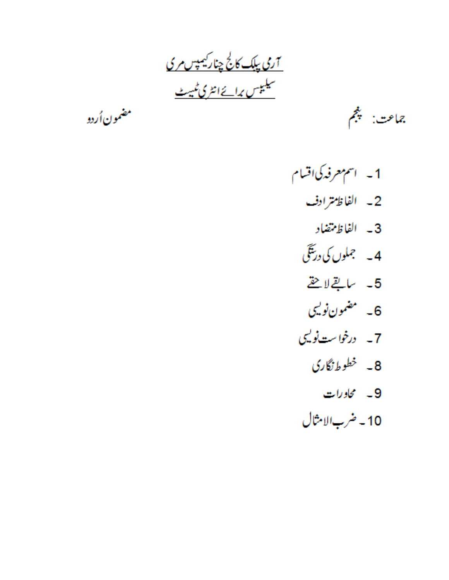<u>7ری پلک کالج چنارکیمپس مری</u> <u>سیلیپس برائےانٹری ٹیبٹ</u>

مضمون أردو

جماعت: پنجم

- 1- اسم معرفه کی اقسام 2- الفاظ ترادف 3- الفاظ تتضاد 4۔ جملوں کی درینگی 5- يبايقج لاحق 6۔ مضمون نولیی 7۔ درخواست نویسی 8۔ خطوط نگاری
	- 9۔ محاورات
	- 10 ضرب الامثال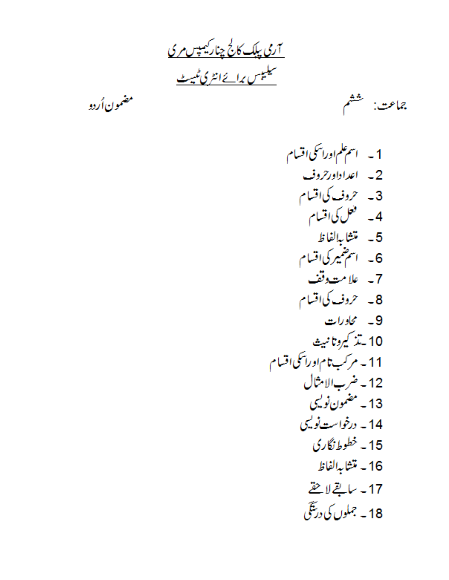<u>7ری پلک کالج چنارکیمپس مری</u><br>سیلیپس برائےانٹری *ٹیبٹ* 

مضمون اُردو<br>مضمون اُردو

جماعت: لتحشم